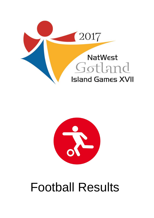



# Football Results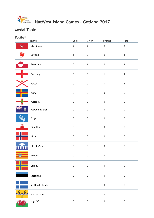

## Medal Table

| Football      | Island                  | Gold             | Silver           | <b>Bronze</b>    | <b>Total</b>     |
|---------------|-------------------------|------------------|------------------|------------------|------------------|
| $\mathcal{X}$ | Isle of Man             | $\mathbf{1}$     | $\mathbf{1}$     | $\pmb{0}$        | $\mathbf{2}$     |
| E ® G         | Gotland                 | $\mathbf{1}$     | $\mathbf 0$      | $\mathbf 0$      | $\mathbf{1}$     |
|               | Greenland               | $\mathbf 0$      | $\mathbf{1}$     | $\mathbf 0$      | $\mathbf{1}$     |
|               | Guernsey                | $\,0\,$          | $\boldsymbol{0}$ | $\mathbf{1}$     | $\mathbf{1}$     |
|               | Jersey                  | $\mathbf 0$      | $\boldsymbol{0}$ | $\mathbf{1}$     | $\mathbf{1}$     |
|               | Åland                   | $\mathbf 0$      | $\boldsymbol{0}$ | $\boldsymbol{0}$ | $\boldsymbol{0}$ |
|               | Alderney                | $\mathbf 0$      | $\mathsf 0$      | $\mathbf 0$      | $\mathbf 0$      |
| ē             | <b>Falkland Islands</b> | $\mathbf 0$      | $\mathsf 0$      | $\mathbf 0$      | $\mathbf 0$      |
|               | Froya                   | $\boldsymbol{0}$ | $\boldsymbol{0}$ | $\mathbf 0$      | $\boldsymbol{0}$ |
| ≞             | Gibraltar               | $\mathbf 0$      | $\mathbf 0$      | $\mathbf 0$      | $\mathbf 0$      |
|               | Hitra                   | $\mathbf 0$      | $\boldsymbol{0}$ | $\mathbf 0$      | $\boldsymbol{0}$ |
|               | Isle of Wight           | $\mathbf 0$      | $\mathbf 0$      | $\boldsymbol{0}$ | $\pmb{0}$        |
|               | Menorca                 | $\mathbf 0$      | $\mathbf 0$      | $\mathbf 0$      | $\mathbf 0$      |
|               | Orkney                  | $\mathbf 0$      | $\mathbf 0$      | $\mathbf 0$      | $\mathbf 0$      |
|               | Saaremaa                | $\mathbf 0$      | $\mathbf 0$      | $\mathbf 0$      | $\mathbf 0$      |
|               | Shetland Islands        | $\mathbf 0$      | $\mathbf 0$      | $\mathbf 0$      | $\mathbf 0$      |
| Ő.            | Western Isles           | $\mathbf 0$      | $\mathbf 0$      | $\boldsymbol{0}$ | $\pmb{0}$        |
|               | Ynys Môn                | $\mathbf 0$      | $\mathsf 0$      | $\mathbf 0$      | $\mathbf 0$      |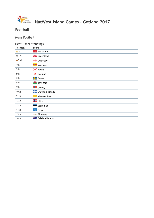

## **NatWest Island Games - Gotland 2017**

## Football

Men's Football

#### Heat: Final Standings

| <b>Position</b> | <b>Team</b>                    |
|-----------------|--------------------------------|
| $\bullet$ 1st   | <b>R</b> Isle of Man           |
| $\bullet$ 2nd   | Greenland                      |
| $\bullet$ 3rd   | $\frac{1}{2}$ Guernsey         |
| 4th             | Menorca                        |
| 5th             | X Jersey                       |
| 6th             | 寶<br>Gotland                   |
| 7th             | <b>H</b> Aland                 |
| 8th             | <b>THE</b> Ynys Môn            |
| 9th             | <b>H</b> Orkney                |
| 10th            | Shetland Islands               |
| 11th            | Western Isles                  |
| 12th            | <b>H</b> Hitra                 |
| 13th            | Saaremaa                       |
| 14th            | <b>N<sub>J</sub></b> Froya     |
| 15th            | - Alderney                     |
| 16th            | <b>FRICAL Falkland Islands</b> |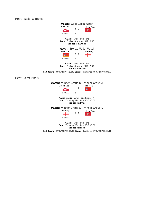Heat: Medal Matches

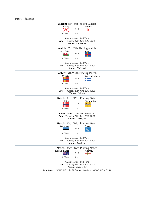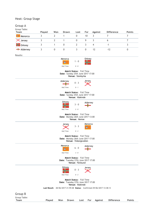#### Heat: Group Stage

## Group A

| Group Table:           |        |     |       |      |          |         |                   |               |
|------------------------|--------|-----|-------|------|----------|---------|-------------------|---------------|
| Team                   | Played | Won | Drawn | Lost | For      | Against | <b>Difference</b> | <b>Points</b> |
| Menorca                |        |     |       |      | 10       |         |                   |               |
| X Jersey               |        |     |       | 0    | 9        |         | b                 |               |
| $\frac{1}{2}$ Orkney   |        |     |       |      |          |         | - 1               |               |
| $\rightarrow$ Alderney |        | 0   | 0     |      | $\Omega$ | 12      | $-12$             |               |

| Results:                |        |                                                                        |                                                                                       |          |                |                   |               |
|-------------------------|--------|------------------------------------------------------------------------|---------------------------------------------------------------------------------------|----------|----------------|-------------------|---------------|
|                         |        | Menorca<br>Half Time:                                                  | $1 - 0$<br>$0 - 0$                                                                    | Orkney   |                |                   |               |
|                         |        |                                                                        | Match Status: Full Time<br>Date: Sunday 25th June 2017 17:00<br>Venue: Stenkyrka      |          |                |                   |               |
|                         |        | Alderney<br>Half Time:                                                 | $0 - 3$<br>$0 - 1$                                                                    | Jersey   |                |                   |               |
|                         |        |                                                                        | Match Status: Full Time<br>Date: Sunday 25th June 2017 17:00<br>Venue: Väskinde       |          |                |                   |               |
|                         |        | Orkney<br>Half Time:                                                   | $3 - 0$<br>$2 - 0$                                                                    | Alderney |                |                   |               |
|                         |        |                                                                        | Match Status: Full Time<br>Date: Monday 26th June 2017 13:00<br>Venue: Hemse          |          |                |                   |               |
|                         |        | Jersey<br>Half Time:                                                   | $3 - 3$<br>$0 - 2$                                                                    | Menorca  |                |                   |               |
|                         |        |                                                                        | Match Status: Full Time<br>Date: Monday 26th June 2017 17:00<br>Venue: Visborgsvallen |          |                |                   |               |
|                         |        | Menorca<br>Half Time:                                                  | $6 - 0$<br>$3 - 0$                                                                    | Alderney |                |                   |               |
|                         |        |                                                                        | Match Status: Full Time<br>Date: Tuesday 27th June 2017 17:00<br>Venue: Fårösund      |          |                |                   |               |
|                         |        | Orkney<br>. .<br>Half Time:                                            | $0 - 3$<br>$0 - 2$                                                                    | Jersey   |                |                   |               |
|                         |        |                                                                        | Match Status: Full Time<br>Date: Tuesday 27th June 2017 17:00<br>Venue: Väskinde      |          |                |                   |               |
|                         |        | Last Result: 28/06/2017 21:59:48 Status: Confirmed 29/06/2017 13:38:13 |                                                                                       |          |                |                   |               |
| Group B<br>Group Table: |        |                                                                        |                                                                                       |          |                |                   |               |
| Team                    | Played | Won                                                                    | Drawn<br>Lost                                                                         | For      | <b>Against</b> | <b>Difference</b> | <b>Points</b> |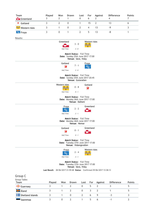| Team                   | Played                                                                 | Won              | Drawn                                                                                  | Lost           | For            | Against        | <b>Difference</b> | <b>Points</b>  |
|------------------------|------------------------------------------------------------------------|------------------|----------------------------------------------------------------------------------------|----------------|----------------|----------------|-------------------|----------------|
| Greenland              | 3                                                                      | 2                | 1                                                                                      | 0              | 6              | 2              | 4                 | $\overline{7}$ |
| ₹<br>Gotland           | 3                                                                      | $\overline{2}$   | 0                                                                                      | 1              | 15             | $\overline{2}$ | 13                | 6              |
| Western Isles فَيَبْتُ | 3                                                                      | $\mathbf{1}$     | 0                                                                                      | 2              | $\overline{4}$ | 13             | $-9$              | 3              |
| <b>W</b> Froya         | 3                                                                      | $\boldsymbol{0}$ | 1                                                                                      | $\overline{2}$ | 5              | 13             | -8                | 1              |
| Results:               |                                                                        |                  |                                                                                        |                |                |                |                   |                |
|                        |                                                                        | Greenland        |                                                                                        |                | Western Isles  |                |                   |                |
|                        |                                                                        |                  | $3 - 0$                                                                                |                |                |                |                   |                |
|                        |                                                                        | Half Time:       | $2 - 0$                                                                                |                |                |                |                   |                |
|                        |                                                                        |                  | Match Status: Full Time<br>Date: Sunday 25th June 2017 17:00<br>Venue: Säve, Visby     |                |                |                |                   |                |
|                        |                                                                        | Gotland          |                                                                                        |                | Froya          |                |                   |                |
|                        |                                                                        |                  | $7 - 1$<br>濤                                                                           |                | VV)            |                |                   |                |
|                        |                                                                        | Half Time:       | $2 - 0$                                                                                |                |                |                |                   |                |
|                        |                                                                        |                  | Match Status: Full Time<br>Date: Sunday 25th June 2017 20:45<br>Venue: Gutavallen      |                |                |                |                   |                |
|                        |                                                                        | Western Isles    |                                                                                        |                | Gotland        |                |                   |                |
|                        |                                                                        |                  | $0 - 8$                                                                                |                | 濤              |                |                   |                |
|                        |                                                                        | Half Time:       | $0 - 1$                                                                                |                |                |                |                   |                |
|                        |                                                                        |                  | Match Status: Full Time<br>Date: Monday 26th June 2017 17:00                           | Venue: Dalhem  |                |                |                   |                |
|                        |                                                                        |                  | Froya                                                                                  |                | Greenland      |                |                   |                |
|                        |                                                                        | Half Time:       | $2 - 2$<br>$v_{00}$<br>$2 - 1$                                                         |                |                |                |                   |                |
|                        |                                                                        |                  | Match Status: Full Time<br>Date: Monday 26th June 2017 17:00                           | Venue: Hemse   |                |                |                   |                |
|                        |                                                                        | Gotland          |                                                                                        |                | Greenland      |                |                   |                |
|                        |                                                                        |                  |                                                                                        | $0 - 1$        |                |                |                   |                |
|                        |                                                                        | Half Time:       | $0 - 1$                                                                                |                |                |                |                   |                |
|                        |                                                                        |                  | Match Status: Full Time<br>Date: Tuesday 27th June 2017 17:00<br>Venue: Visborgsvallen |                |                |                |                   |                |
|                        |                                                                        | Half Time:       | Froya<br>VV)<br>$2 - 1$                                                                | $2 - 4$        | Western Isles  |                |                   |                |
|                        |                                                                        |                  | Match Status: Full Time                                                                |                |                |                |                   |                |
|                        |                                                                        |                  | Date: Tuesday 27th June 2017 17:00                                                     |                |                |                |                   |                |
|                        | Last Result: 28/06/2017 21:59:48 Status: Confirmed 29/06/2017 13:38:13 |                  | Venue: Säve, Visby                                                                     |                |                |                |                   |                |
| Group C                |                                                                        |                  |                                                                                        |                |                |                |                   |                |
| Group Table:           |                                                                        |                  |                                                                                        |                |                |                |                   |                |
| Team                   | Played                                                                 | Won              | Drawn                                                                                  | Lost           | For            | <b>Against</b> | <b>Difference</b> | <b>Points</b>  |
| Guernsey               | $\overline{3}$                                                         | $\mathbf{1}$     | $\overline{2}$                                                                         | $\mathbf 0$    | 5              | $\overline{2}$ | 3                 | 5              |
| <b>Hand</b> Åland      | 3                                                                      | $\mathbf{1}$     | $\overline{2}$                                                                         | $\mathbf{0}$   | 3              | $\overline{2}$ | $\mathbf{1}$      | 5              |
| Shetland Islands       | 3                                                                      | $\mathbf{1}$     | $\mathbf 0$                                                                            | $\overline{2}$ | 6              | 9              | $-3$              | 3              |
| Saaremaa               | 3                                                                      | 0                | $\overline{2}$                                                                         | $\mathbf{1}$   | 5              | 6              | $-1$              | $\overline{2}$ |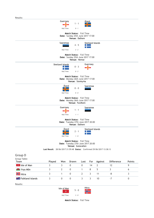| Guernsey<br>Åland<br>$1 - 1$                                                       |
|------------------------------------------------------------------------------------|
| Half Time:<br>$0 - 1$                                                              |
| Match Status: Full Time<br>Date: Sunday 25th June 2017 17:00<br>Venue: Dalhem      |
| Saaremaa<br>Shetland Islands<br>$4 - 5$<br>Half Time:<br>$2 - 2$                   |
| Match Status: Full Time<br>Date: Sunday 25th June 2017 17:00<br>Venue: Hemse       |
| Guernsey<br>Shetland Islands<br>$0 - 3$<br>$0 - 2$<br>Half Time:                   |
| Match Status: Full Time<br>Date: Monday 26th June 2017 17:00<br>Venue: Stenkyrka   |
| Åland<br>Saaremaa<br>$0 - 0$<br>-11<br>Half Time:<br>$0 - 0$                       |
| Match Status: Full Time<br>Date: Monday 26th June 2017 17:00<br>Venue: Fardhem     |
| Guernsey<br>Saaremaa<br>$1 - 1$<br>Half Time:<br>$1 - 1$                           |
| Match Status: Full Time<br>Date: Tuesday 27th June 2017 20:00<br>Venue: Dalhem     |
| Åland<br><b>Shetland Islands</b><br>$2 - 1$<br>Half Time:<br>$1 - 0$               |
| Match Status: Full Time<br>Date: Tuesday 27th June 2017 20:00<br>Venue: Gutavallen |
| Last Result: 28/06/2017 21:59:48 Status: Confirmed 29/06/2017 13:38:13             |
| Group D                                                                            |

| Group Table:                 |        |              |              |      |     |         |                   |               |
|------------------------------|--------|--------------|--------------|------|-----|---------|-------------------|---------------|
| Team                         | Played | Won          | Drawn        | Lost | For | Against | <b>Difference</b> | <b>Points</b> |
| $\mathbb{R}$ Isle of Man     | 3      | 3            | $\mathbf{0}$ | 0    | 14  | -2      | 12                | 9             |
| <b>TA</b> Ynys Môn           |        | 2            | $\mathbf{0}$ |      | 8   | 5       |                   | 6             |
| $H$ Hitra                    | 3.     |              | $\mathbf{0}$ | 2    | 3   | 11      | -8                |               |
| <b>** E</b> Falkland Islands |        | $\mathbf{0}$ | $\mathbf{0}$ | 3    | 3   | 10      | -7                | 0             |
| Results:                     |        |              |              |      |     |         |                   |               |

| Isle of Man | $5 - 0$ | Hitra |
|-------------|---------|-------|
| Half Time:  | $3 - 0$ |       |

**Match Status:** Full Time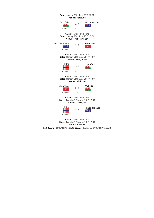| Date: Sunday 25th June 2017 17:00<br>Venue: Fårösund                                                                                                      |  |  |  |  |  |  |  |  |
|-----------------------------------------------------------------------------------------------------------------------------------------------------------|--|--|--|--|--|--|--|--|
| Ynys Môn<br><b>Falkland Islands</b><br>$3 - 0$<br>$\mathbf{r}$<br>š<br>Araya)<br>Half Time:<br>$2 - 0$                                                    |  |  |  |  |  |  |  |  |
| <b>Match Status:</b> Full Time<br>Date: Sunday 25th June 2017 17:00<br>Venue: Visborgsvallen                                                              |  |  |  |  |  |  |  |  |
| <b>Falkland Islands</b><br>Isle of Man<br>$2 - 5$<br>Ŕ.<br>Half Time:<br>$1 - 4$                                                                          |  |  |  |  |  |  |  |  |
| <b>Match Status:</b> Full Time<br>Date: Monday 26th June 2017 17:00<br>Venue: Säve, Visby                                                                 |  |  |  |  |  |  |  |  |
| Hitra<br>Ynys Môn<br>$1 - 5$<br>$0 - 2$<br>Half Time:                                                                                                     |  |  |  |  |  |  |  |  |
| <b>Match Status:</b> Full Time<br>Date: Monday 26th June 2017 17:00<br>Venue: Väskinde                                                                    |  |  |  |  |  |  |  |  |
| Ynys Môn<br>Isle of Man<br>$4 - 0$<br>w<br>Half Time:<br>$2 - 0$                                                                                          |  |  |  |  |  |  |  |  |
| Match Status: Full Time<br>Date: Tuesday 27th June 2017 17:00<br>Venue: Stenkyrka                                                                         |  |  |  |  |  |  |  |  |
| Hitra<br>Falkland Islands<br>$2 - 1$<br>Half Time:<br>$1 - 1$                                                                                             |  |  |  |  |  |  |  |  |
| Match Status: Full Time<br>Date: Tuesday 27th June 2017 17:00<br>Venue: Fardhem<br>Last Result: 28/06/2017 21:59:48 Status: Confirmed 29/06/2017 13:38:13 |  |  |  |  |  |  |  |  |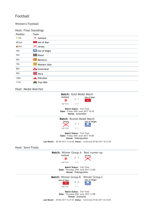### Football

#### Women's Football

#### Heat: Final Standings

| <b>Position</b> | Team                       |
|-----------------|----------------------------|
| $\bullet$ 1st   | 薄<br>Gotland               |
| $\bullet$ 2nd   | <b>R</b> Isle of Man       |
| $\bullet$ 3rd   | X Jersey                   |
| 4th             | Isle of Wight              |
| 5th             | <b>H</b> Aland             |
| 6th             | Menorca                    |
| 7th             | Western Isles <del>ﷺ</del> |
| 8th             | Greenland                  |
| 9th             | <b>H</b> Hitra             |
| 10th            | Gibraltar                  |
| 11th            | <b>W</b> Ynys Môn          |

#### Heat: Medal Matches

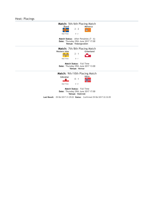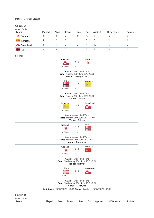#### Heat: Group Stage

## Group A

| Group Table:   |        |     |       |      |     |         |                          |               |
|----------------|--------|-----|-------|------|-----|---------|--------------------------|---------------|
| Team           | Played | Won | Drawn | Lost | For | Against | <b>Difference</b>        | <b>Points</b> |
| 薄<br>Gotland   |        |     |       | 0    | 13  |         |                          |               |
| Menorca        |        |     |       |      | b.  |         | $\overline{\phantom{a}}$ |               |
| Greenland      |        |     |       |      | 4   | 10      | -6                       |               |
| <b>H</b> Hitra |        |     |       |      |     |         | -4                       |               |

| Results:                        |                                                                        |                            |                                                                                       |      |              |         |                   |        |
|---------------------------------|------------------------------------------------------------------------|----------------------------|---------------------------------------------------------------------------------------|------|--------------|---------|-------------------|--------|
|                                 |                                                                        | Greenland<br>Half Time:    | $0 - 6$<br>$0 - 2$                                                                    |      | Gotland<br>農 |         |                   |        |
|                                 |                                                                        |                            | Match Status: Full Time<br>Date: Sunday 25th June 2017 13:00<br>Venue: Visborgsvallen |      |              |         |                   |        |
|                                 |                                                                        | Half Time:                 | Hitra<br>$1 - 2$<br>$0 - 1$                                                           |      | Menorca      |         |                   |        |
|                                 |                                                                        |                            | Match Status: Full Time<br>Date: Sunday 25th June 2017 13:00<br>Venue: Dalhem         |      |              |         |                   |        |
|                                 |                                                                        | Menorca<br>æ<br>Half Time: | $2 - 1$<br>$1 - 1$                                                                    |      | Greenland    |         |                   |        |
|                                 |                                                                        |                            | Match Status: Full Time<br>Date: Monday 26th June 2017 13:00<br>Venue: Dalhem         |      |              |         |                   |        |
|                                 |                                                                        | Gotland<br>濤<br>Half Time: | $2 - 0$<br>$1 - 0$                                                                    |      | Hitra        |         |                   |        |
|                                 |                                                                        |                            | Match Status: Full Time<br>Date: Monday 26th June 2017 20:45<br>Venue: Gutavallen     |      |              |         |                   |        |
|                                 |                                                                        | Gotland<br>濤<br>Half Time: | $5 - 1$<br>$3 - 1$                                                                    |      | Menorca      |         |                   |        |
|                                 |                                                                        |                            | Match Status: Full Time<br>Date: Wednesday 28th June 2017 17:00<br>Venue: Väskinde    |      |              |         |                   |        |
|                                 |                                                                        | JΕ<br>Half Time:           | <b>Hitra</b><br>$2 - 3$<br>$1 - 0$                                                    |      | Greenland    |         |                   |        |
|                                 |                                                                        |                            | Match Status: Full Time<br>Date: Wednesday 28th June 2017 17:00<br>Venue: Stenkyrka   |      |              |         |                   |        |
|                                 | Last Result: 28/06/2017 21:10:30 Status: Confirmed 28/06/2017 21:25:01 |                            |                                                                                       |      |              |         |                   |        |
| Group B<br>Group Table:<br>Team | Played                                                                 | Won                        | <b>Drawn</b>                                                                          | Lost | For          | Against | <b>Difference</b> | Points |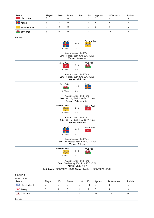| Team<br><b>R</b> Isle of Man                                                                 | Played<br>3    | Won<br>2         | Drawn<br>$\mathbf 0$ | Lost<br>1      | For<br>6                 | Against<br>2   | <b>Difference</b><br>4 | <b>Points</b><br>6 |
|----------------------------------------------------------------------------------------------|----------------|------------------|----------------------|----------------|--------------------------|----------------|------------------------|--------------------|
| <b>H</b> Aland                                                                               | 3              | $\overline{2}$   | 0                    | 1              | 9                        | 6              | 3                      | 6                  |
|                                                                                              |                |                  |                      |                |                          |                |                        |                    |
| ್ನಿಸಿ<br>Western Isles                                                                       | 3              | $\overline{2}$   | 0                    | 1              | 8                        | 6              | $\overline{2}$         | 6                  |
| <b>W</b> Ynys Môn                                                                            | 3              | $\boldsymbol{0}$ | $\boldsymbol{0}$     | 3              | $\overline{2}$           | 11             | $-9$                   | $\boldsymbol{0}$   |
| Results:                                                                                     |                |                  |                      |                |                          |                |                        |                    |
| Åland<br>Western Isles<br>$5 - 2$                                                            |                |                  |                      |                |                          |                |                        |                    |
|                                                                                              |                |                  |                      |                |                          |                |                        |                    |
| Half Time:<br>$3 - 1$                                                                        |                |                  |                      |                |                          |                |                        |                    |
| <b>Match Status:</b> Full Time<br>Date: Sunday 25th June 2017 13:00<br>Venue: Stenkyrka      |                |                  |                      |                |                          |                |                        |                    |
|                                                                                              |                | Isle of Man      | ν                    | 3 - 0          | Ynys Môn<br>$\mathbf{r}$ |                |                        |                    |
|                                                                                              |                |                  | Half Time:           | $0 - 0$        |                          |                |                        |                    |
| Match Status: Full Time<br>Date: Sunday 25th June 2017 13:00<br>Venue: Väskinde              |                |                  |                      |                |                          |                |                        |                    |
|                                                                                              |                |                  | Ynys Môn             |                | Åland                    |                |                        |                    |
|                                                                                              |                |                  | n I A                | $1 - 4$        |                          |                |                        |                    |
|                                                                                              |                |                  | Half Time:           | $0 - 2$        |                          |                |                        |                    |
| <b>Match Status:</b> Full Time<br>Date: Monday 26th June 2017 13:00<br>Venue: Visborgsvallen |                |                  |                      |                |                          |                |                        |                    |
|                                                                                              |                | Western Isles    |                      | $2 - 0$        | Isle of Man<br>ッ         |                |                        |                    |
|                                                                                              |                |                  | Half Time:           | $1 - 0$        |                          |                |                        |                    |
| Match Status: Full Time<br>Date: Monday 26th June 2017 13:00<br>Venue: Fårösund              |                |                  |                      |                |                          |                |                        |                    |
|                                                                                              |                |                  | Åland                |                | Isle of Man              |                |                        |                    |
|                                                                                              |                |                  |                      | $0 - 3$        |                          |                |                        |                    |
|                                                                                              |                |                  | Half Time:           | $0 - 1$        |                          |                |                        |                    |
| Match Status: Full Time<br>Date: Wednesday 28th June 2017 17:00<br>Venue: Dalhem             |                |                  |                      |                |                          |                |                        |                    |
|                                                                                              |                | Western Isles    |                      |                | Ynys Môn                 |                |                        |                    |
|                                                                                              | 4 - 1<br>7 M M |                  |                      |                |                          |                |                        |                    |
|                                                                                              |                |                  | Half Time:           | $1 - 0$        |                          |                |                        |                    |
| <b>Match Status:</b> Full Time<br>Date: Wednesday 28th June 2017 17:00<br>Venue: Säve, Visby |                |                  |                      |                |                          |                |                        |                    |
| Last Result: 28/06/2017 21:10:30 Status: Confirmed 28/06/2017 21:25:01                       |                |                  |                      |                |                          |                |                        |                    |
| Group C                                                                                      |                |                  |                      |                |                          |                |                        |                    |
| Group Table:                                                                                 |                |                  |                      |                |                          |                |                        |                    |
| Team                                                                                         | Played         | Won              | Drawn                | Lost           | For                      | <b>Against</b> | <b>Difference</b>      | <b>Points</b>      |
| Isle of Wight                                                                                | 2              | $\overline{2}$   | $\mathbf 0$          | $\mathbf 0$    | 11                       | 3              | 8                      | 6                  |
| $\mathsf{\times}$ Jersey                                                                     | $\overline{2}$ | 1                | $\mathbf 0$          | $\mathbf{1}$   | 8                        | $\mathsf{3}$   | 5                      | 3                  |
| Gibraltar                                                                                    | $\overline{2}$ | 0                | $\mathbf 0$          | $\overline{2}$ | $\mathbf{1}$             | 14             | $-13$                  | $\boldsymbol{0}$   |
| Results:                                                                                     |                |                  |                      |                |                          |                |                        |                    |